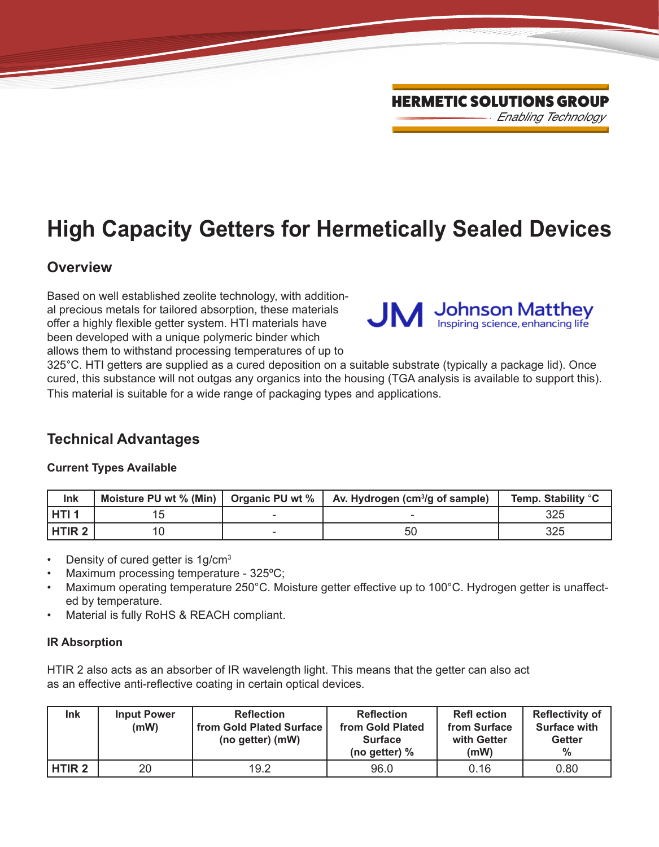# **High Capacity Getters for Hermetically Sealed Devices**

## **Overview**

Based on well established zeolite technology, with additional precious metals for tailored absorption, these materials offer a highly flexible getter system. HTI materials have been developed with a unique polymeric binder which allows them to withstand processing temperatures of up to



325°C. HTI getters are supplied as a cured deposition on a suitable substrate (typically a package lid). Once cured, this substance will not outgas any organics into the housing (TGA analysis is available to support this). This material is suitable for a wide range of packaging types and applications.

## **Technical Advantages**

#### **Current Types Available**

| Ink               | Moisture PU wt % (Min)   Organic PU wt % | $\vert$ Av. Hydrogen (cm <sup>3</sup> /g of sample) | Temp. Stability °C |
|-------------------|------------------------------------------|-----------------------------------------------------|--------------------|
| l HTI 1           |                                          |                                                     | 325                |
| HTIR <sub>2</sub> |                                          | 50                                                  | 325                |

- Density of cured getter is 1g/cm<sup>3</sup>
- Maximum processing temperature 325ºC;
- Maximum operating temperature 250°C. Moisture getter effective up to 100°C. Hydrogen getter is unaffected by temperature.
- Material is fully RoHS & REACH compliant.

#### **IR Absorption**

HTIR 2 also acts as an absorber of IR wavelength light. This means that the getter can also act as an effective anti-reflective coating in certain optical devices.

| Ink           | <b>Input Power</b><br>(mW) | <b>Reflection</b><br>from Gold Plated Surface<br>(no getter) (mW) | <b>Reflection</b><br>from Gold Plated<br><b>Surface</b><br>(no getter) $%$ | <b>Refl ection</b><br>from Surface<br>with Getter<br>(mW) | <b>Reflectivity of</b><br><b>Surface with</b><br><b>Getter</b><br>$\%$ |
|---------------|----------------------------|-------------------------------------------------------------------|----------------------------------------------------------------------------|-----------------------------------------------------------|------------------------------------------------------------------------|
| <b>HTIR 2</b> | 20                         | 19.2                                                              | 96.0                                                                       | 0.16                                                      | 0.80                                                                   |